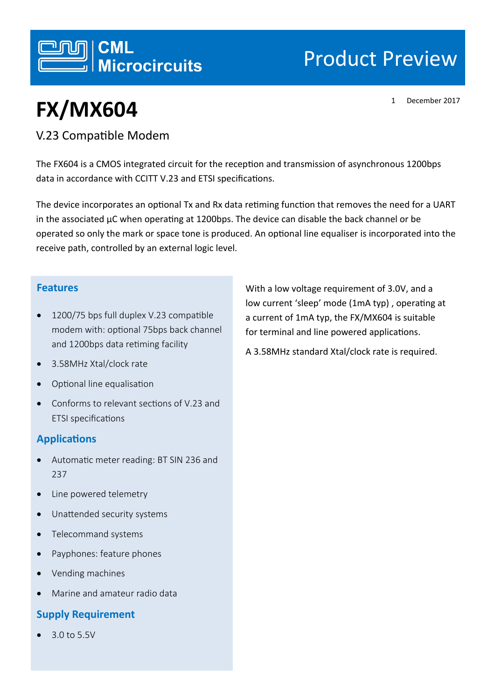

# Product Preview

1 December 2017

# **FX/MX604**

## V.23 Compatible Modem

The FX604 is a CMOS integrated circuit for the reception and transmission of asynchronous 1200bps data in accordance with CCITT V.23 and ETSI specifications.

The device incorporates an optional Tx and Rx data retiming function that removes the need for a UART in the associated µC when operating at 1200bps. The device can disable the back channel or be operated so only the mark or space tone is produced. An optional line equaliser is incorporated into the receive path, controlled by an external logic level.

### **Features**

- 1200/75 bps full duplex V.23 compatible modem with: optional 75bps back channel and 1200bps data retiming facility
- 3.58MHz Xtal/clock rate
- Optional line equalisation
- Conforms to relevant sections of V.23 and ETSI specifications

### **Applications**

- Automatic meter reading: BT SIN 236 and 237
- Line powered telemetry
- Unattended security systems
- Telecommand systems
- Payphones: feature phones
- Vending machines
- Marine and amateur radio data

### **Supply Requirement**

3.0 to 5.5V

With a low voltage requirement of 3.0V, and a low current 'sleep' mode (1mA typ) , operating at a current of 1mA typ, the FX/MX604 is suitable for terminal and line powered applications.

A 3.58MHz standard Xtal/clock rate is required.